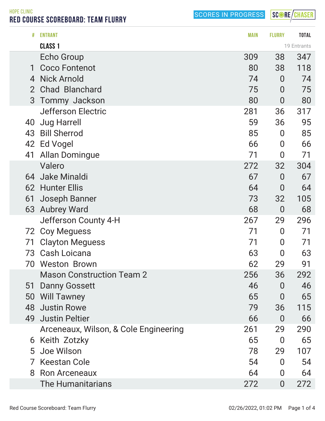SCORE/CHASER

HOPE CLINIC RED COURSE SCOREBOARD: TEAM FLURRY

|                | <b>ENTRANT</b>                        | <b>MAIN</b> | <b>FLURRY</b>    | <b>TOTAL</b> |
|----------------|---------------------------------------|-------------|------------------|--------------|
|                | <b>CLASS 1</b>                        |             |                  | 19 Entrants  |
|                | <b>Echo Group</b>                     | 309         | 38               | 347          |
| 1              | <b>Coco Fontenot</b>                  | 80          | 38               | 118          |
| 4              | <b>Nick Arnold</b>                    | 74          | $\overline{0}$   | 74           |
| $\overline{2}$ | <b>Chad Blanchard</b>                 | 75          | $\overline{0}$   | 75           |
| 3              | <b>Tommy Jackson</b>                  | 80          | $\overline{0}$   | 80           |
|                | <b>Jefferson Electric</b>             | 281         | 36               | 317          |
| 40             | <b>Jug Harrell</b>                    | 59          | 36               | 95           |
| 43             | <b>Bill Sherrod</b>                   | 85          | $\boldsymbol{0}$ | 85           |
| 42             | Ed Vogel                              | 66          | $\boldsymbol{0}$ | 66           |
| 41             | <b>Allan Domingue</b>                 | 71          | 0                | 71           |
|                | Valero                                | 272         | 32               | 304          |
| 64             | Jake Minaldi                          | 67          | $\overline{0}$   | 67           |
|                | 62 Hunter Ellis                       | 64          | 0                | 64           |
| 61             | Joseph Banner                         | 73          | 32               | 105          |
| 63             | <b>Aubrey Ward</b>                    | 68          | $\boldsymbol{0}$ | 68           |
|                | Jefferson County 4-H                  | 267         | 29               | 296          |
|                | 72 Coy Meguess                        | 71          | $\overline{0}$   | 71           |
| 71             | <b>Clayton Meguess</b>                | 71          | 0                | 71           |
|                | 73 Cash Loicana                       | 63          | 0                | 63           |
| 70             | <b>Weston Brown</b>                   | 62          | 29               | 91           |
|                | <b>Mason Construction Team 2</b>      | 256         | 36               | 292          |
| 51             | <b>Danny Gossett</b>                  | 46          | $\overline{0}$   | 46           |
| 50             | <b>Will Tawney</b>                    | 65          | 0                | 65           |
|                | 48 Justin Rowe                        | 79          | 36               | 115          |
|                | 49 Justin Peltier                     | 66          | $\overline{0}$   | 66           |
|                | Arceneaux, Wilson, & Cole Engineering | 261         | 29               | 290          |
| 6              | Keith Zotzky                          | 65          | $\overline{0}$   | 65           |
|                | 5 Joe Wilson                          | 78          | 29               | 107          |
|                | <b>Keestan Cole</b>                   | 54          | $\Omega$         | 54           |
| 8              | <b>Ron Arceneaux</b>                  | 64          | $\overline{0}$   | 64           |
|                | <b>The Humanitarians</b>              | 272         | $\overline{0}$   | 272          |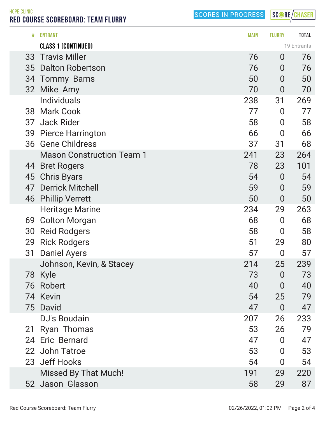SCORE/CHASER

HOPE CLINIC RED COURSE SCOREBOARD: TEAM FLURRY

| #               | <b>ENTRANT</b>                   | <b>MAIN</b> | <b>FLURRY</b>  | <b>TOTAL</b> |
|-----------------|----------------------------------|-------------|----------------|--------------|
|                 | <b>CLASS 1 (CONTINUED)</b>       |             |                | 19 Entrants  |
| 33              | <b>Travis Miller</b>             | 76          | $\overline{0}$ | 76           |
| 35              | <b>Dalton Robertson</b>          | 76          | $\overline{0}$ | 76           |
|                 | 34 Tommy Barns                   | 50          | $\overline{0}$ | 50           |
| 32 <sup>2</sup> | Mike Amy                         | 70          | $\overline{0}$ | 70           |
|                 | <b>Individuals</b>               | 238         | 31             | 269          |
| 38              | <b>Mark Cook</b>                 | 77          | $\overline{0}$ | 77           |
| 37              | <b>Jack Rider</b>                | 58          | $\overline{0}$ | 58           |
| 39              | <b>Pierce Harrington</b>         | 66          | $\overline{0}$ | 66           |
| 36              | <b>Gene Childress</b>            | 37          | 31             | 68           |
|                 | <b>Mason Construction Team 1</b> | 241         | 23             | 264          |
| 44              | <b>Bret Rogers</b>               | 78          | 23             | 101          |
| 45              | <b>Chris Byars</b>               | 54          | $\overline{0}$ | 54           |
| 47              | <b>Derrick Mitchell</b>          | 59          | $\overline{0}$ | 59           |
| 46              | <b>Phillip Verrett</b>           | 50          | $\overline{0}$ | 50           |
|                 | <b>Heritage Marine</b>           | 234         | 29             | 263          |
| 69              | <b>Colton Morgan</b>             | 68          | $\overline{0}$ | 68           |
| 30              | <b>Reid Rodgers</b>              | 58          | $\bf{0}$       | 58           |
| 29              | <b>Rick Rodgers</b>              | 51          | 29             | 80           |
| 31              | Daniel Ayers                     | 57          | $\overline{0}$ | 57           |
|                 | Johnson, Kevin, & Stacey         | 214         | 25             | 239          |
| 78              | Kyle                             | 73          | $\bf{0}$       | 73           |
| 76              | Robert                           | 40          | $\overline{0}$ | 40           |
|                 | 74 Kevin                         | 54          | 25             | 79           |
|                 | 75 David                         | 47          | $\overline{0}$ | 47           |
|                 | <b>DJ's Boudain</b>              | 207         | 26             | 233          |
| 21              | <b>Ryan Thomas</b>               | 53          | 26             | 79           |
|                 | 24 Eric Bernard                  | 47          | 0              | 47           |
|                 | 22 John Tatroe                   | 53          | $\bf{0}$       | 53           |
|                 | 23 Jeff Hooks                    | 54          | $\bf{0}$       | 54           |
|                 | <b>Missed By That Much!</b>      | 191         | 29             | 220          |
|                 | 52 Jason Glasson                 | 58          | 29             | 87           |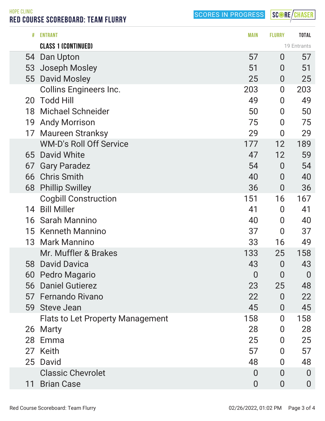SCORE/CHASER

HOPE CLINIC RED COURSE SCOREBOARD: TEAM FLURRY

|    | <b>CLASS 1 (CONTINUED)</b>              |                |                  | 19 Entrants    |
|----|-----------------------------------------|----------------|------------------|----------------|
| 54 | Dan Upton                               | 57             | $\overline{0}$   | 57             |
| 53 | Joseph Mosley                           | 51             | $\overline{0}$   | 51             |
| 55 | <b>David Mosley</b>                     | 25             | $\overline{0}$   | 25             |
|    | <b>Collins Engineers Inc.</b>           | 203            | $\boldsymbol{0}$ | 203            |
| 20 | <b>Todd Hill</b>                        | 49             | $\boldsymbol{0}$ | 49             |
| 18 | <b>Michael Schneider</b>                | 50             | $\boldsymbol{0}$ | 50             |
| 19 | <b>Andy Morrison</b>                    | 75             | $\overline{0}$   | 75             |
| 17 | <b>Maureen Stranksy</b>                 | 29             | $\overline{0}$   | 29             |
|    | <b>WM-D's Roll Off Service</b>          | 177            | 12               | 189            |
| 65 | David White                             | 47             | 12               | 59             |
| 67 | <b>Gary Paradez</b>                     | 54             | $\bf{0}$         | 54             |
| 66 | <b>Chris Smith</b>                      | 40             | $\overline{0}$   | 40             |
| 68 | <b>Phillip Swilley</b>                  | 36             | $\overline{0}$   | 36             |
|    | <b>Cogbill Construction</b>             | 151            | 16               | 167            |
| 14 | <b>Bill Miller</b>                      | 41             | $\boldsymbol{0}$ | 41             |
| 16 | <b>Sarah Mannino</b>                    | 40             | $\overline{0}$   | 40             |
| 15 | <b>Kenneth Mannino</b>                  | 37             | $\overline{0}$   | 37             |
| 13 | <b>Mark Mannino</b>                     | 33             | 16               | 49             |
|    | Mr. Muffler & Brakes                    | 133            | 25               | 158            |
| 58 | <b>David Davica</b>                     | 43             | $\overline{0}$   | 43             |
| 60 | Pedro Magario                           | $\overline{0}$ | $\overline{0}$   | $\overline{0}$ |
| 56 | <b>Daniel Gutierez</b>                  | 23             | 25               | 48             |
| 57 | <b>Fernando Rivano</b>                  | 22             | 0                | 22             |
|    | 59 Steve Jean                           | 45             | 0                | 45             |
|    | <b>Flats to Let Property Management</b> | 158            | $\Omega$         | 158            |
| 26 | Marty                                   | 28             | 0                | 28             |
| 28 | Emma                                    | 25             | 0                | 25             |
| 27 | Keith                                   | 57             | 0                | 57             |
| 25 | David                                   | 48             | 0                | 48             |
|    | <b>Classic Chevrolet</b>                | 0              | $\Omega$         | $\overline{0}$ |
| 11 | <b>Brian Case</b>                       | $\bf{0}$       | $\overline{0}$   | $\overline{0}$ |
|    |                                         |                |                  |                |

# ENTRANT MAIN FLURRY TOTAL